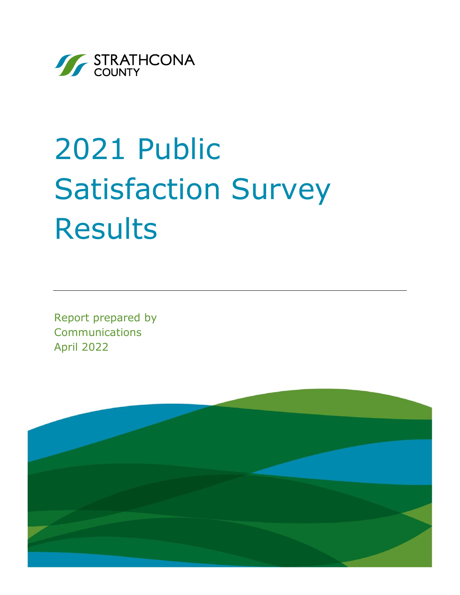

# 2021 Public Satisfaction Survey Results

Report prepared by Communications April 2022

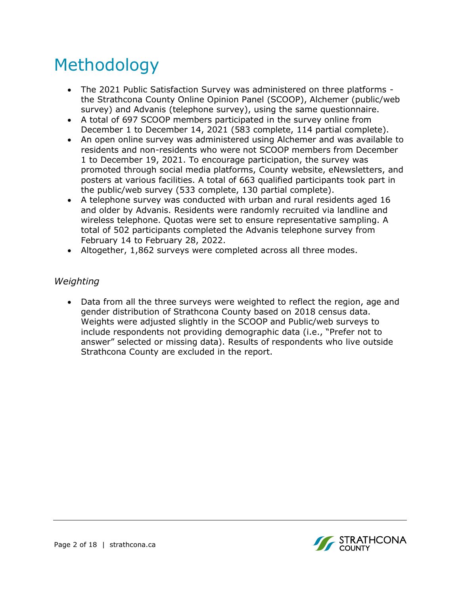# Methodology

- The 2021 Public Satisfaction Survey was administered on three platforms the Strathcona County Online Opinion Panel (SCOOP), Alchemer (public/web survey) and Advanis (telephone survey), using the same questionnaire.
- A total of 697 SCOOP members participated in the survey online from December 1 to December 14, 2021 (583 complete, 114 partial complete).
- An open online survey was administered using Alchemer and was available to residents and non-residents who were not SCOOP members from December 1 to December 19, 2021. To encourage participation, the survey was promoted through social media platforms, County website, eNewsletters, and posters at various facilities. A total of 663 qualified participants took part in the public/web survey (533 complete, 130 partial complete).
- A telephone survey was conducted with urban and rural residents aged 16 and older by Advanis. Residents were randomly recruited via landline and wireless telephone. Quotas were set to ensure representative sampling. A total of 502 participants completed the Advanis telephone survey from February 14 to February 28, 2022.
- Altogether, 1,862 surveys were completed across all three modes.

### *Weighting*

• Data from all the three surveys were weighted to reflect the region, age and gender distribution of Strathcona County based on 2018 census data. Weights were adjusted slightly in the SCOOP and Public/web surveys to include respondents not providing demographic data (i.e., "Prefer not to answer" selected or missing data). Results of respondents who live outside Strathcona County are excluded in the report.

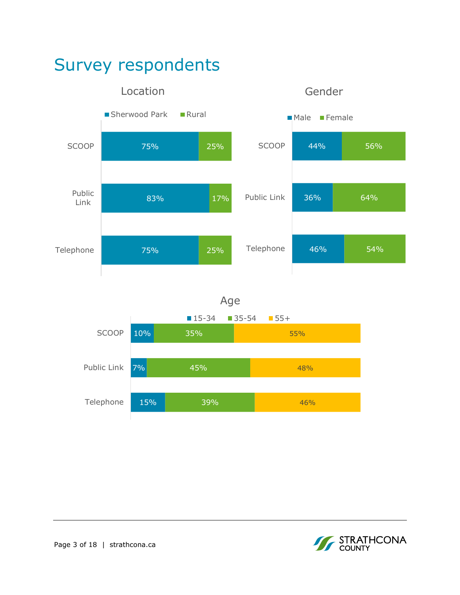



Age

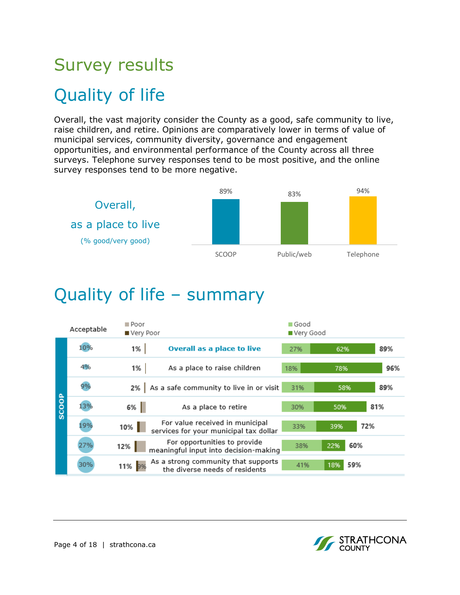# Survey results Quality of life

Overall, the vast majority consider the County as a good, safe community to live, raise children, and retire. Opinions are comparatively lower in terms of value of municipal services, community diversity, governance and engagement opportunities, and environmental performance of the County across all three surveys. Telephone survey responses tend to be most positive, and the online survey responses tend to be more negative.



### Quality of life – summary

|              | Acceptable | $\blacksquare$ Poor<br>■ Very Poor |                                                                           | ■ Good<br>■ Very Good |            |     |
|--------------|------------|------------------------------------|---------------------------------------------------------------------------|-----------------------|------------|-----|
|              | 10%        | 1%                                 | <b>Overall as a place to live</b>                                         | 27%                   | 62%        | 89% |
|              | 4%         | 1%                                 | As a place to raise children                                              | 18%                   | 78%        | 96% |
|              | 9%         |                                    | 2% As a safe community to live in or visit                                | 31%                   | 58%        | 89% |
| <b>SCOOP</b> | 13%        | $6\%$                              | As a place to retire                                                      | 30%                   | 50%        | 81% |
|              | 19%        | $10\%$                             | For value received in municipal<br>services for your municipal tax dollar | 33%                   | 39%        | 72% |
|              | 27%        | $12\%$                             | For opportunities to provide<br>meaningful input into decision-making     | 38%                   | 60%<br>22% |     |
|              | 30%        | 11% 9%                             | As a strong community that supports<br>the diverse needs of residents     | 41%                   | 59%<br>18% |     |

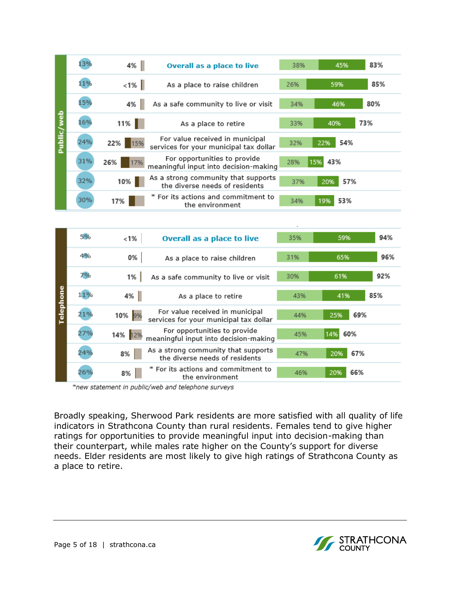|            | 13% | 4%         | <b>Overall as a place to live</b>                                         | 38% | 45%        | 83% |
|------------|-----|------------|---------------------------------------------------------------------------|-----|------------|-----|
|            | 11% | $ $ 1% $ $ | As a place to raise children                                              | 26% | 59%        | 85% |
|            | 15% | 4%         | As a safe community to live or visit                                      | 34% | 46%        | 80% |
|            | 16% | $11\%$     | As a place to retire                                                      | 33% | 40%        | 73% |
| Public/web | 24% | 22%<br>15% | For value received in municipal<br>services for your municipal tax dollar | 32% | 54%<br>22% |     |
|            | 31% | 26%<br>17% | For opportunities to provide<br>meaningful input into decision-making     | 28% | 43%<br>15% |     |
|            | 32% | $10\%$     | As a strong community that supports<br>the diverse needs of residents     | 37% | 57%<br>20% |     |
|            | 30% | 17%        | * For its actions and commitment to<br>the environment                    | 34% | 53%<br>19% |     |

|           | 5%  | $< 1\%$ | <b>Overall as a place to live</b>                                         | 35% | 59%        | 94% |
|-----------|-----|---------|---------------------------------------------------------------------------|-----|------------|-----|
|           | 4%  | 0%      | As a place to raise children                                              | 31% | 65%        | 96% |
|           | 7%  | 1%      | As a safe community to live or visit                                      | 30% | 61%        | 92% |
| Telephone | 11% | $4\%$   | As a place to retire                                                      | 43% | 41%        | 85% |
|           | 21% | 10% 9%  | For value received in municipal<br>services for your municipal tax dollar | 44% | 69%<br>25% |     |
|           | 27% | 14% 12% | For opportunities to provide<br>meaningful input into decision-making     | 45% | 60%<br>14% |     |
|           | 24% | 8%      | As a strong community that supports<br>the diverse needs of residents     | 47% | 67%<br>20% |     |
|           | 26% | 8%      | * For its actions and commitment to<br>the environment                    | 46% | 66%<br>20% |     |

\*new statement in public/web and telephone surveys

Broadly speaking, Sherwood Park residents are more satisfied with all quality of life indicators in Strathcona County than rural residents. Females tend to give higher ratings for opportunities to provide meaningful input into decision-making than their counterpart, while males rate higher on the County's support for diverse needs. Elder residents are most likely to give high ratings of Strathcona County as a place to retire.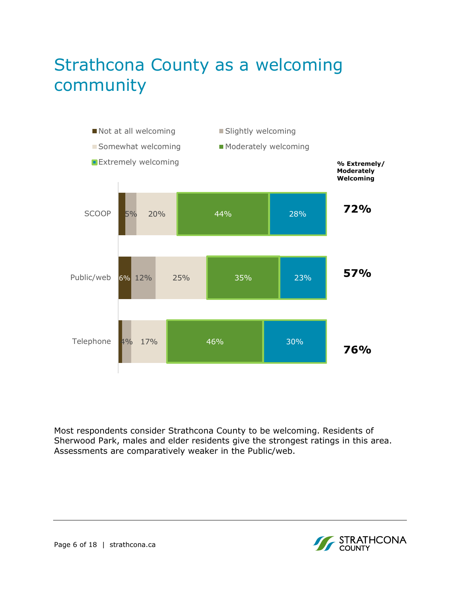# Strathcona County as a welcoming community



Most respondents consider Strathcona County to be welcoming. Residents of Sherwood Park, males and elder residents give the strongest ratings in this area. Assessments are comparatively weaker in the Public/web.

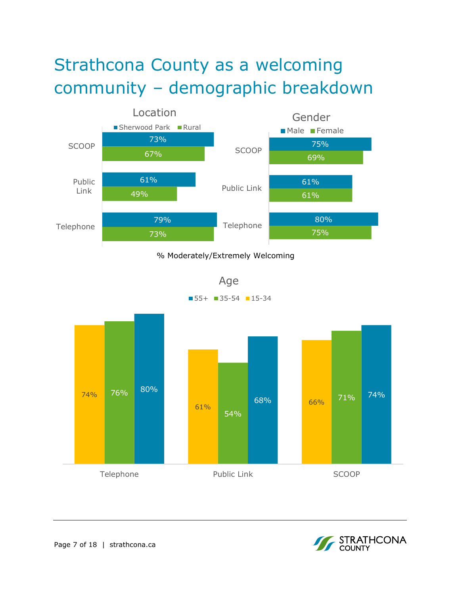# Strathcona County as a welcoming community – demographic breakdown



### % Moderately/Extremely Welcoming

Age  $\blacksquare$  55+  $\blacksquare$  35-54  $\blacksquare$  15-34

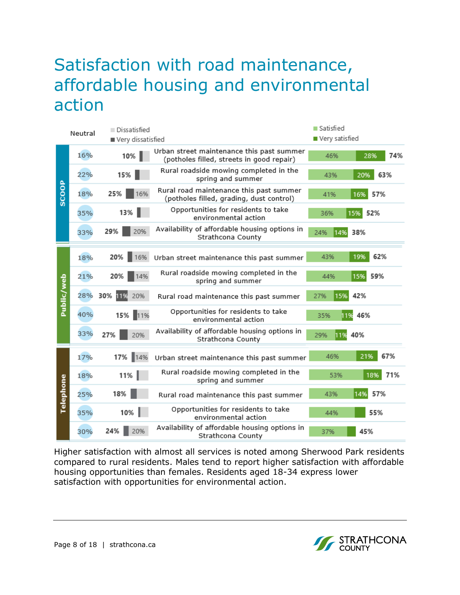### Satisfaction with road maintenance, affordable housing and environmental action



Higher satisfaction with almost all services is noted among Sherwood Park residents compared to rural residents. Males tend to report higher satisfaction with affordable housing opportunities than females. Residents aged 18-34 express lower satisfaction with opportunities for environmental action.

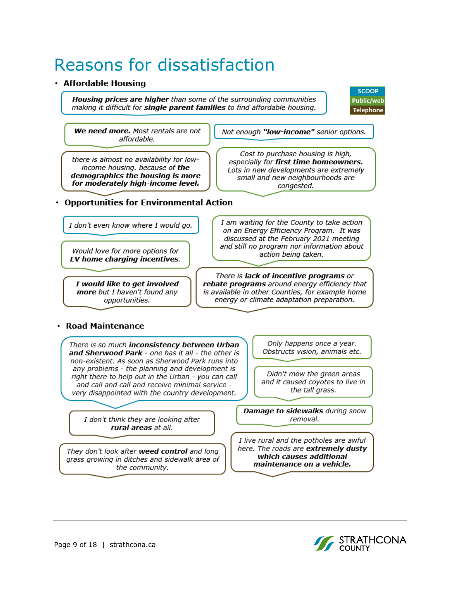# Reasons for dissatisfaction

#### · Affordable Housing

Housing prices are higher than some of the surrounding communities making it difficult for **single parent families** to find affordable housing.



We need more. Most rentals are not affordable.

there is almost no availability for lowincome housing. because of the demographics the housing is more for moderately high-income level.

• Opportunities for Environmental Action

I don't even know where I would go.

Would love for more options for EV home charging incentives.

I would like to get involved more but I haven't found any opportunities.

I am waiting for the County to take action on an Energy Efficiency Program. It was discussed at the February 2021 meeting and still no program nor information about action being taken.

Not enough "low-income" senior options.

Cost to purchase housing is high,

especially for first time homeowners.

Lots in new developments are extremely

small and new neighbourhoods are

congested.

There is lack of incentive programs or rebate programs around energy efficiency that is available in other Counties, for example home energy or climate adaptation preparation.

#### · Road Maintenance

There is so much inconsistency between Urban and Sherwood Park - one has it all - the other is non-existent. As soon as Sherwood Park runs into any problems - the planning and development is right there to help out in the Urban - you can call and call and call and receive minimal service very disappointed with the country development.

I don't think they are looking after rural areas at all.

They don't look after weed control and long grass growing in ditches and sidewalk area of the community.

Only happens once a year. Obstructs vision, animals etc.

Didn't mow the green areas and it caused coyotes to live in the tall grass.

Damage to sidewalks during snow removal.

I live rural and the potholes are awful here. The roads are extremely dusty which causes additional maintenance on a vehicle.

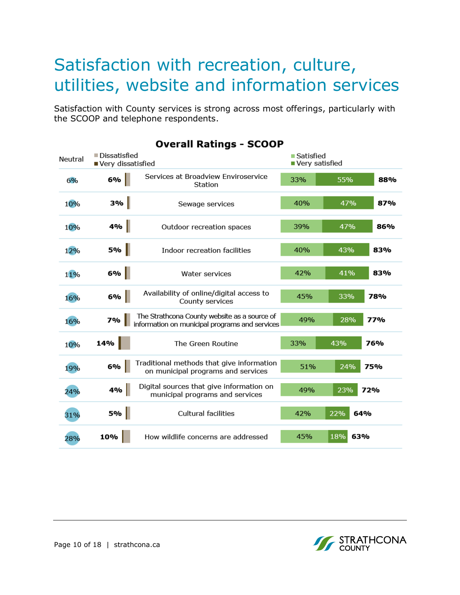### Satisfaction with recreation, culture, utilities, website and information services

Satisfaction with County services is strong across most offerings, particularly with the SCOOP and telephone respondents.

| ■ Dissatisfied<br>Neutral<br>Very dissatisfied |           |                                                                                                | ■ Satisfied<br>■ Very satisfied |            |
|------------------------------------------------|-----------|------------------------------------------------------------------------------------------------|---------------------------------|------------|
| 6%                                             | 6%        | Services at Broadview Enviroservice<br>Station                                                 | 33%                             | 55%<br>88% |
| 10%                                            | 3%        | Sewage services                                                                                | 40%                             | 47%<br>87% |
| 10%                                            | 4%        | Outdoor recreation spaces                                                                      | 39%                             | 47%<br>86% |
| 12%                                            | <b>5%</b> | Indoor recreation facilities                                                                   | 40%                             | 43%<br>83% |
| 11%                                            | 6%        | Water services                                                                                 | 42%                             | 41%<br>83% |
| 16%                                            | $6%$      | Availability of online/digital access to<br>County services                                    | 45%                             | 33%<br>78% |
| 16%                                            | 7%        | The Strathcona County website as a source of<br>information on municipal programs and services | 49%                             | 28%<br>77% |
| 10%                                            | 14%       | The Green Routine                                                                              | 33%                             | 43%<br>76% |
| 19%                                            | 6%        | Traditional methods that give information<br>on municipal programs and services                | 51%                             | 24%<br>75% |
| 24%                                            | 4%        | Digital sources that give information on<br>municipal programs and services                    | 49%                             | 23%<br>72% |
| 31%                                            | 5%        | <b>Cultural facilities</b>                                                                     | 42%                             | 22%<br>64% |
| 28%                                            | 10%       | How wildlife concerns are addressed                                                            | 45%                             | 18%<br>63% |

### **Overall Ratings - SCOOP**

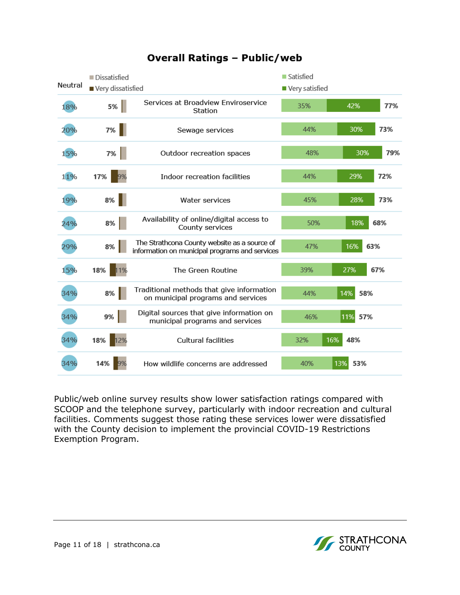

### **Overall Ratings - Public/web**

Public/web online survey results show lower satisfaction ratings compared with SCOOP and the telephone survey, particularly with indoor recreation and cultural facilities. Comments suggest those rating these services lower were dissatisfied with the County decision to implement the provincial COVID-19 Restrictions Exemption Program.

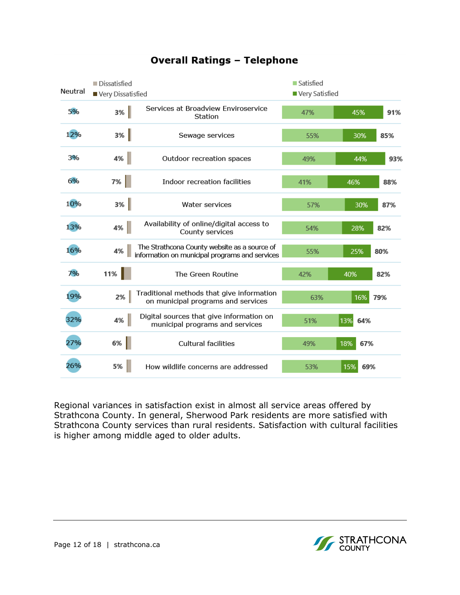

### **Overall Ratings - Telephone**

Regional variances in satisfaction exist in almost all service areas offered by Strathcona County. In general, Sherwood Park residents are more satisfied with Strathcona County services than rural residents. Satisfaction with cultural facilities is higher among middle aged to older adults.

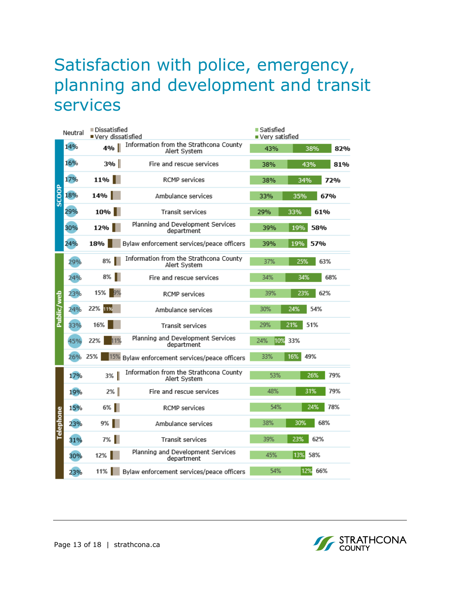### Satisfaction with police, emergency, planning and development and transit services

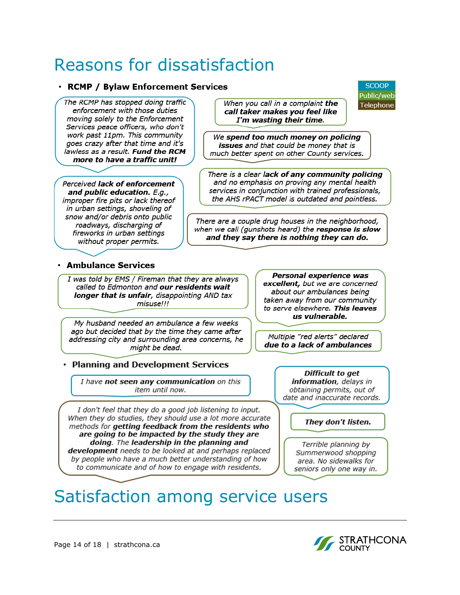### Reasons for dissatisfaction

#### · RCMP / Bylaw Enforcement Services

The RCMP has stopped doing traffic enforcement with those duties moving solely to the Enforcement Services peace officers, who don't work past 11pm. This community goes crazy after that time and it's lawless as a result. Fund the RCM more to have a traffic unit!

Perceived lack of enforcement and public education. E.g., improper fire pits or lack thereof in urban settings, shoveling of snow and/or debris onto public roadways, discharging of fireworks in urban settings without proper permits.

When you call in a complaint the call taker makes vou feel like I'm wasting their time.

**SCOOP** Public/web

Telephone

We spend too much money on policing issues and that could be money that is much better spent on other County services.

There is a clear lack of any community policing and no emphasis on proving any mental health services in conjunction with trained professionals, the AHS rPACT model is outdated and pointless.

There are a couple drug houses in the neighborhood, when we call (gunshots heard) the response is slow and they say there is nothing they can do.

#### · Ambulance Services

I was told by EMS / Fireman that they are always called to Edmonton and our residents wait longer that is unfair, disappointing AND tax misuse!!!

My husband needed an ambulance a few weeks ago but decided that by the time they came after addressing city and surrounding area concerns, he might be dead.

### • Planning and Development Services

I have not seen any communication on this item until now.

I don't feel that they do a good job listening to input. When they do studies, they should use a lot more accurate methods for getting feedback from the residents who are going to be impacted by the study they are doing. The leadership in the planning and development needs to be looked at and perhaps replaced by people who have a much better understanding of how to communicate and of how to engage with residents.

Personal experience was excellent, but we are concerned about our ambulances being taken away from our community to serve elsewhere. This leaves us vulnerable.

Multiple "red alerts" declared due to a lack of ambulances

> Difficult to aet information, delays in obtaining permits, out of date and inaccurate records.

#### They don't listen.

Terrible planning by Summerwood shopping area. No sidewalks for seniors only one way in.

# Satisfaction among service users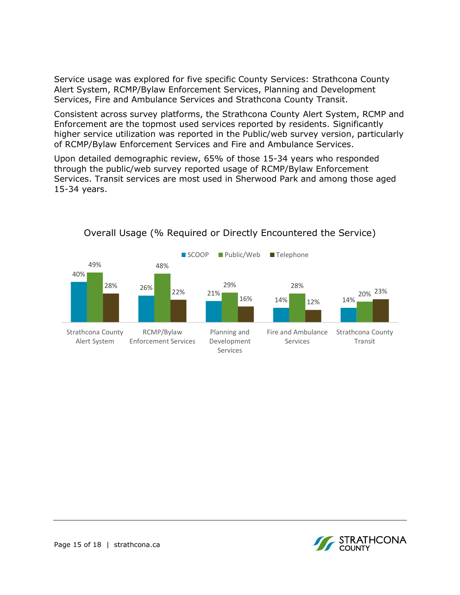Service usage was explored for five specific County Services: Strathcona County Alert System, RCMP/Bylaw Enforcement Services, Planning and Development Services, Fire and Ambulance Services and Strathcona County Transit.

Consistent across survey platforms, the Strathcona County Alert System, RCMP and Enforcement are the topmost used services reported by residents. Significantly higher service utilization was reported in the Public/web survey version, particularly of RCMP/Bylaw Enforcement Services and Fire and Ambulance Services.

Upon detailed demographic review, 65% of those 15-34 years who responded through the public/web survey reported usage of RCMP/Bylaw Enforcement Services. Transit services are most used in Sherwood Park and among those aged 15-34 years.



### Overall Usage (% Required or Directly Encountered the Service)

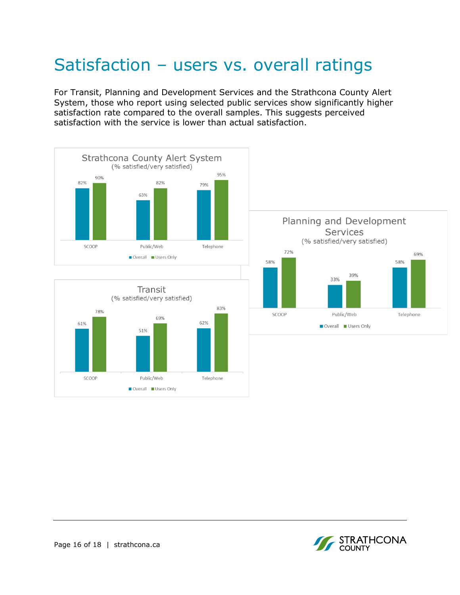# Satisfaction – users vs. overall ratings

For Transit, Planning and Development Services and the Strathcona County Alert System, those who report using selected public services show significantly higher satisfaction rate compared to the overall samples. This suggests perceived satisfaction with the service is lower than actual satisfaction.







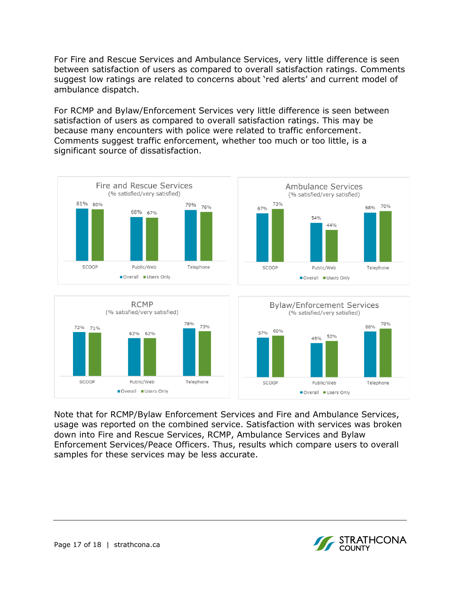For Fire and Rescue Services and Ambulance Services, very little difference is seen between satisfaction of users as compared to overall satisfaction ratings. Comments suggest low ratings are related to concerns about 'red alerts' and current model of ambulance dispatch.

For RCMP and Bylaw/Enforcement Services very little difference is seen between satisfaction of users as compared to overall satisfaction ratings. This may be because many encounters with police were related to traffic enforcement. Comments suggest traffic enforcement, whether too much or too little, is a significant source of dissatisfaction.





Note that for RCMP/Bylaw Enforcement Services and Fire and Ambulance Services, usage was reported on the combined service. Satisfaction with services was broken down into Fire and Rescue Services, RCMP, Ambulance Services and Bylaw Enforcement Services/Peace Officers. Thus, results which compare users to overall samples for these services may be less accurate.